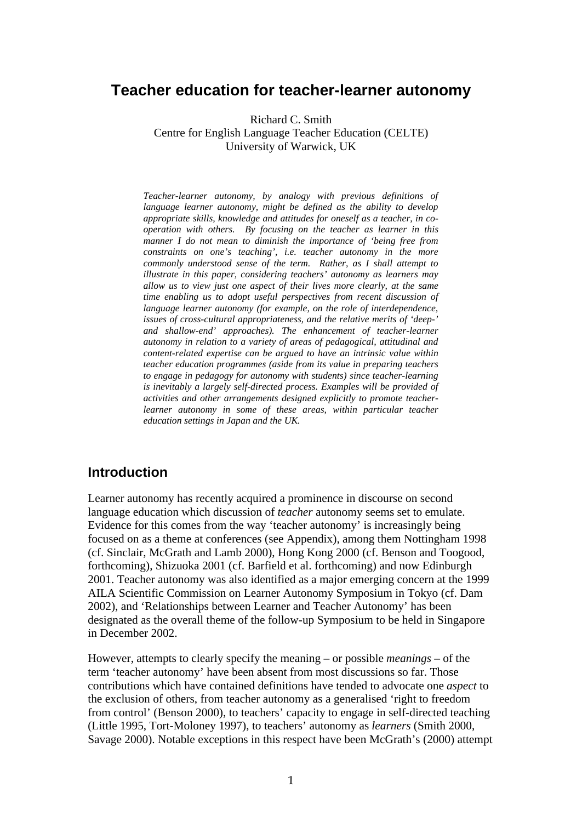# **Teacher education for teacher-learner autonomy**

Richard C. Smith Centre for English Language Teacher Education (CELTE)

University of Warwick, UK

*Teacher-learner autonomy, by analogy with previous definitions of language learner autonomy, might be defined as the ability to develop appropriate skills, knowledge and attitudes for oneself as a teacher, in cooperation with others. By focusing on the teacher as learner in this manner I do not mean to diminish the importance of 'being free from constraints on one's teaching', i.e. teacher autonomy in the more commonly understood sense of the term. Rather, as I shall attempt to illustrate in this paper, considering teachers' autonomy as learners may allow us to view just one aspect of their lives more clearly, at the same time enabling us to adopt useful perspectives from recent discussion of language learner autonomy (for example, on the role of interdependence, issues of cross-cultural appropriateness, and the relative merits of 'deep-' and shallow-end' approaches). The enhancement of teacher-learner autonomy in relation to a variety of areas of pedagogical, attitudinal and content-related expertise can be argued to have an intrinsic value within teacher education programmes (aside from its value in preparing teachers to engage in pedagogy for autonomy with students) since teacher-learning is inevitably a largely self-directed process. Examples will be provided of activities and other arrangements designed explicitly to promote teacherlearner autonomy in some of these areas, within particular teacher education settings in Japan and the UK.*

# **Introduction**

Learner autonomy has recently acquired a prominence in discourse on second language education which discussion of *teacher* autonomy seems set to emulate. Evidence for this comes from the way 'teacher autonomy' is increasingly being focused on as a theme at conferences (see Appendix), among them Nottingham 1998 (cf. Sinclair, McGrath and Lamb 2000), Hong Kong 2000 (cf. Benson and Toogood, forthcoming), Shizuoka 2001 (cf. Barfield et al. forthcoming) and now Edinburgh 2001. Teacher autonomy was also identified as a major emerging concern at the 1999 AILA Scientific Commission on Learner Autonomy Symposium in Tokyo (cf. Dam 2002), and 'Relationships between Learner and Teacher Autonomy' has been designated as the overall theme of the follow-up Symposium to be held in Singapore in December 2002.

However, attempts to clearly specify the meaning – or possible *meanings* – of the term 'teacher autonomy' have been absent from most discussions so far. Those contributions which have contained definitions have tended to advocate one *aspect* to the exclusion of others, from teacher autonomy as a generalised 'right to freedom from control' (Benson 2000), to teachers' capacity to engage in self-directed teaching (Little 1995, Tort-Moloney 1997), to teachers' autonomy as *learners* (Smith 2000, Savage 2000). Notable exceptions in this respect have been McGrath's (2000) attempt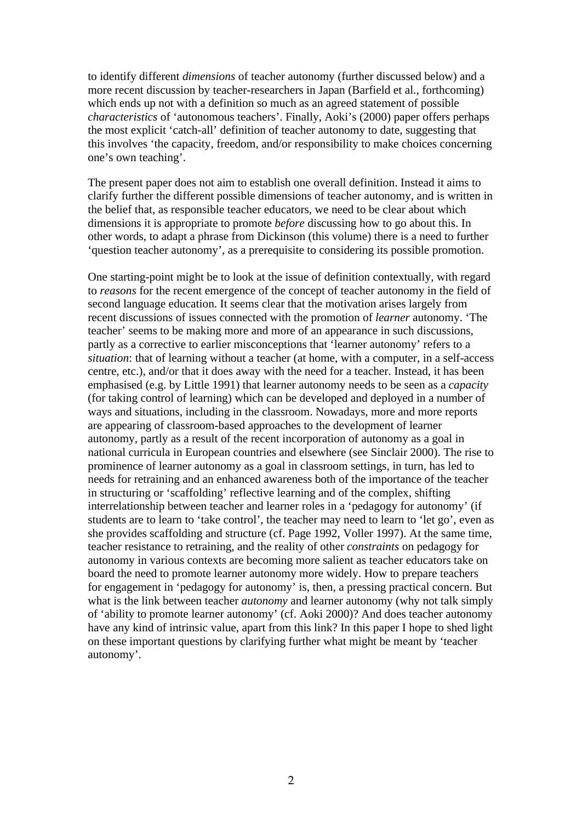to identify different *dimensions* of teacher autonomy (further discussed below) and a more recent discussion by teacher-researchers in Japan (Barfield et al., forthcoming) which ends up not with a definition so much as an agreed statement of possible *characteristics* of 'autonomous teachers'. Finally, Aoki's (2000) paper offers perhaps the most explicit 'catch-all' definition of teacher autonomy to date, suggesting that this involves 'the capacity, freedom, and/or responsibility to make choices concerning one's own teaching'.

The present paper does not aim to establish one overall definition. Instead it aims to clarify further the different possible dimensions of teacher autonomy, and is written in the belief that, as responsible teacher educators, we need to be clear about which dimensions it is appropriate to promote *before* discussing how to go about this. In other words, to adapt a phrase from Dickinson (this volume) there is a need to further 'question teacher autonomy', as a prerequisite to considering its possible promotion.

One starting-point might be to look at the issue of definition contextually, with regard to *reasons* for the recent emergence of the concept of teacher autonomy in the field of second language education. It seems clear that the motivation arises largely from recent discussions of issues connected with the promotion of *learner* autonomy. 'The teacher' seems to be making more and more of an appearance in such discussions, partly as a corrective to earlier misconceptions that 'learner autonomy' refers to a *situation*: that of learning without a teacher (at home, with a computer, in a self-access centre, etc.), and/or that it does away with the need for a teacher. Instead, it has been emphasised (e.g. by Little 1991) that learner autonomy needs to be seen as a *capacity* (for taking control of learning) which can be developed and deployed in a number of ways and situations, including in the classroom. Nowadays, more and more reports are appearing of classroom-based approaches to the development of learner autonomy, partly as a result of the recent incorporation of autonomy as a goal in national curricula in European countries and elsewhere (see Sinclair 2000). The rise to prominence of learner autonomy as a goal in classroom settings, in turn, has led to needs for retraining and an enhanced awareness both of the importance of the teacher in structuring or 'scaffolding' reflective learning and of the complex, shifting interrelationship between teacher and learner roles in a 'pedagogy for autonomy' (if students are to learn to 'take control', the teacher may need to learn to 'let go', even as she provides scaffolding and structure (cf. Page 1992, Voller 1997). At the same time, teacher resistance to retraining, and the reality of other *constraints* on pedagogy for autonomy in various contexts are becoming more salient as teacher educators take on board the need to promote learner autonomy more widely. How to prepare teachers for engagement in 'pedagogy for autonomy' is, then, a pressing practical concern. But what is the link between teacher *autonomy* and learner autonomy (why not talk simply of 'ability to promote learner autonomy' (cf. Aoki 2000)? And does teacher autonomy have any kind of intrinsic value, apart from this link? In this paper I hope to shed light on these important questions by clarifying further what might be meant by 'teacher autonomy'.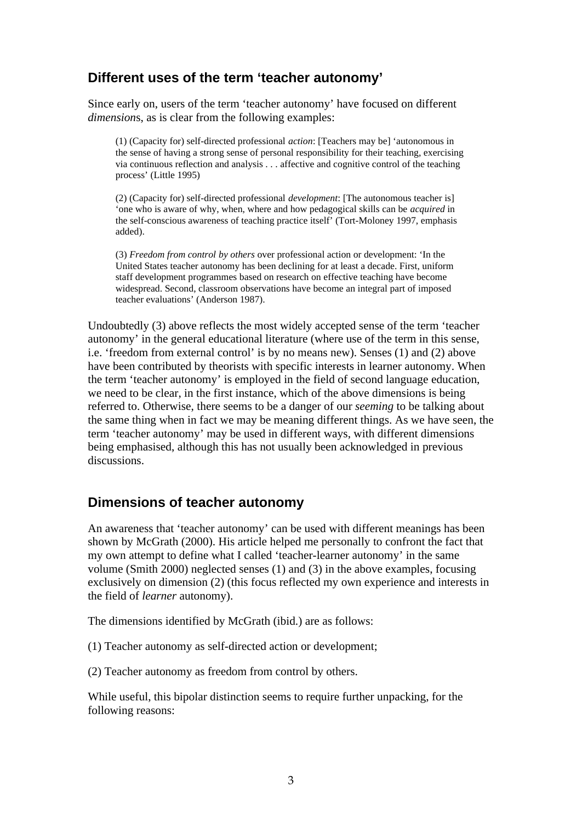# **Different uses of the term 'teacher autonomy'**

Since early on, users of the term 'teacher autonomy' have focused on different *dimension*s, as is clear from the following examples:

(1) (Capacity for) self-directed professional *action*: [Teachers may be] 'autonomous in the sense of having a strong sense of personal responsibility for their teaching, exercising via continuous reflection and analysis . . . affective and cognitive control of the teaching process' (Little 1995)

(2) (Capacity for) self-directed professional *development*: [The autonomous teacher is] 'one who is aware of why, when, where and how pedagogical skills can be *acquired* in the self-conscious awareness of teaching practice itself' (Tort-Moloney 1997, emphasis added).

(3) *Freedom from control by others* over professional action or development: 'In the United States teacher autonomy has been declining for at least a decade. First, uniform staff development programmes based on research on effective teaching have become widespread. Second, classroom observations have become an integral part of imposed teacher evaluations' (Anderson 1987).

Undoubtedly (3) above reflects the most widely accepted sense of the term 'teacher autonomy' in the general educational literature (where use of the term in this sense, i.e. 'freedom from external control' is by no means new). Senses (1) and (2) above have been contributed by theorists with specific interests in learner autonomy. When the term 'teacher autonomy' is employed in the field of second language education, we need to be clear, in the first instance, which of the above dimensions is being referred to. Otherwise, there seems to be a danger of our *seeming* to be talking about the same thing when in fact we may be meaning different things. As we have seen, the term 'teacher autonomy' may be used in different ways, with different dimensions being emphasised, although this has not usually been acknowledged in previous discussions.

## **Dimensions of teacher autonomy**

An awareness that 'teacher autonomy' can be used with different meanings has been shown by McGrath (2000). His article helped me personally to confront the fact that my own attempt to define what I called 'teacher-learner autonomy' in the same volume (Smith 2000) neglected senses (1) and (3) in the above examples, focusing exclusively on dimension (2) (this focus reflected my own experience and interests in the field of *learner* autonomy).

The dimensions identified by McGrath (ibid.) are as follows:

(1) Teacher autonomy as self-directed action or development;

(2) Teacher autonomy as freedom from control by others.

While useful, this bipolar distinction seems to require further unpacking, for the following reasons: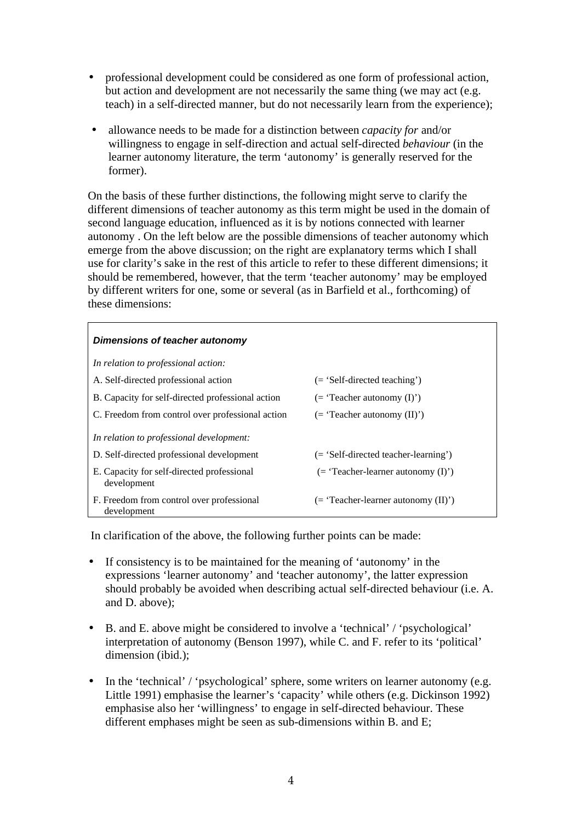- professional development could be considered as one form of professional action, but action and development are not necessarily the same thing (we may act (e.g. teach) in a self-directed manner, but do not necessarily learn from the experience);
- allowance needs to be made for a distinction between *capacity for* and/or willingness to engage in self-direction and actual self-directed *behaviour* (in the learner autonomy literature, the term 'autonomy' is generally reserved for the former).

On the basis of these further distinctions, the following might serve to clarify the different dimensions of teacher autonomy as this term might be used in the domain of second language education, influenced as it is by notions connected with learner autonomy . On the left below are the possible dimensions of teacher autonomy which emerge from the above discussion; on the right are explanatory terms which I shall use for clarity's sake in the rest of this article to refer to these different dimensions; it should be remembered, however, that the term 'teacher autonomy' may be employed by different writers for one, some or several (as in Barfield et al., forthcoming) of these dimensions:

| Dimensions of teacher autonomy                            |                                           |
|-----------------------------------------------------------|-------------------------------------------|
| In relation to professional action:                       |                                           |
| A. Self-directed professional action                      | $($ = 'Self-directed teaching')           |
| B. Capacity for self-directed professional action         | $($ = 'Teacher autonomy $(I)$ ')          |
| C. Freedom from control over professional action          | $($ = 'Teacher autonomy $(II)'$           |
| In relation to professional development:                  |                                           |
| D. Self-directed professional development                 | (= 'Self-directed teacher-learning')      |
| E. Capacity for self-directed professional<br>development | $($ = 'Teacher-learner autonomy $(I)$ ')  |
| F. Freedom from control over professional<br>development  | $($ = 'Teacher-learner autonomy $(II)'$ ) |

In clarification of the above, the following further points can be made:

- If consistency is to be maintained for the meaning of 'autonomy' in the expressions 'learner autonomy' and 'teacher autonomy', the latter expression should probably be avoided when describing actual self-directed behaviour (i.e. A. and D. above);
- B. and E. above might be considered to involve a 'technical' / 'psychological' interpretation of autonomy (Benson 1997), while C. and F. refer to its 'political' dimension (ibid.);
- In the 'technical' / 'psychological' sphere, some writers on learner autonomy (e.g. Little 1991) emphasise the learner's 'capacity' while others (e.g. Dickinson 1992) emphasise also her 'willingness' to engage in self-directed behaviour. These different emphases might be seen as sub-dimensions within B. and E;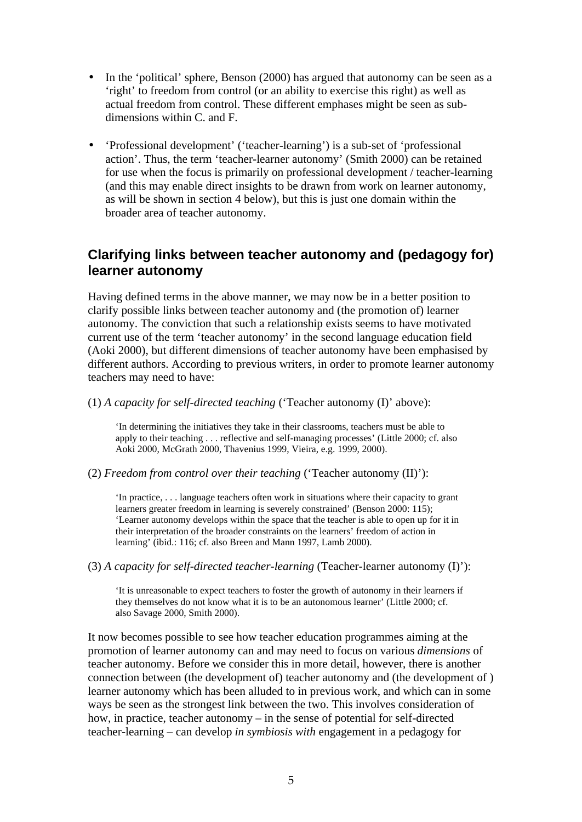- In the 'political' sphere, Benson (2000) has argued that autonomy can be seen as a 'right' to freedom from control (or an ability to exercise this right) as well as actual freedom from control. These different emphases might be seen as subdimensions within C. and F.
- 'Professional development' ('teacher-learning') is a sub-set of 'professional action'. Thus, the term 'teacher-learner autonomy' (Smith 2000) can be retained for use when the focus is primarily on professional development / teacher-learning (and this may enable direct insights to be drawn from work on learner autonomy, as will be shown in section 4 below), but this is just one domain within the broader area of teacher autonomy.

# **Clarifying links between teacher autonomy and (pedagogy for) learner autonomy**

Having defined terms in the above manner, we may now be in a better position to clarify possible links between teacher autonomy and (the promotion of) learner autonomy. The conviction that such a relationship exists seems to have motivated current use of the term 'teacher autonomy' in the second language education field (Aoki 2000), but different dimensions of teacher autonomy have been emphasised by different authors. According to previous writers, in order to promote learner autonomy teachers may need to have:

(1) *A capacity for self-directed teaching* ('Teacher autonomy (I)' above):

'In determining the initiatives they take in their classrooms, teachers must be able to apply to their teaching . . . reflective and self-managing processes' (Little 2000; cf. also Aoki 2000, McGrath 2000, Thavenius 1999, Vieira, e.g. 1999, 2000).

(2) *Freedom from control over their teaching* ('Teacher autonomy (II)'):

'In practice, . . . language teachers often work in situations where their capacity to grant learners greater freedom in learning is severely constrained' (Benson 2000: 115); 'Learner autonomy develops within the space that the teacher is able to open up for it in their interpretation of the broader constraints on the learners' freedom of action in learning' (ibid.: 116; cf. also Breen and Mann 1997, Lamb 2000).

(3) *A capacity for self-directed teacher-learning* (Teacher-learner autonomy (I)'):

'It is unreasonable to expect teachers to foster the growth of autonomy in their learners if they themselves do not know what it is to be an autonomous learner' (Little 2000; cf. also Savage 2000, Smith 2000).

It now becomes possible to see how teacher education programmes aiming at the promotion of learner autonomy can and may need to focus on various *dimensions* of teacher autonomy. Before we consider this in more detail, however, there is another connection between (the development of) teacher autonomy and (the development of ) learner autonomy which has been alluded to in previous work, and which can in some ways be seen as the strongest link between the two. This involves consideration of how, in practice, teacher autonomy – in the sense of potential for self-directed teacher-learning – can develop *in symbiosis with* engagement in a pedagogy for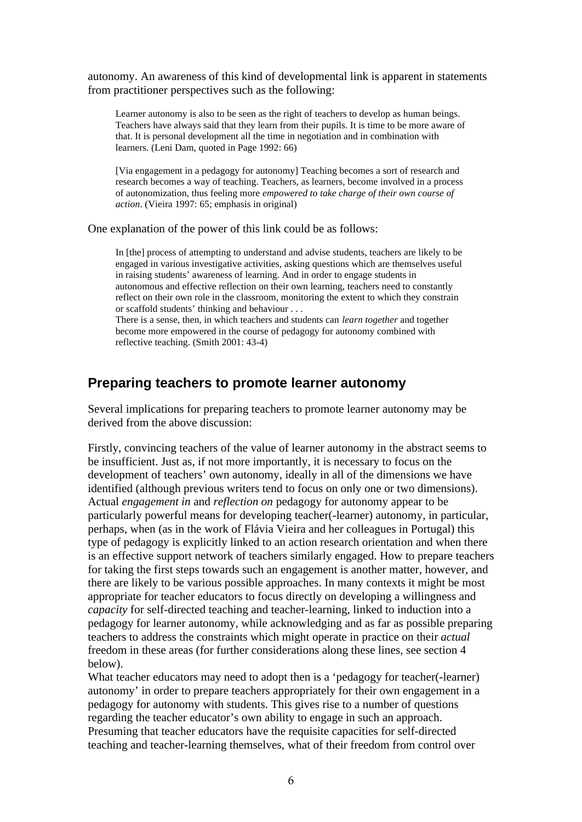autonomy. An awareness of this kind of developmental link is apparent in statements from practitioner perspectives such as the following:

Learner autonomy is also to be seen as the right of teachers to develop as human beings. Teachers have always said that they learn from their pupils. It is time to be more aware of that. It is personal development all the time in negotiation and in combination with learners. (Leni Dam, quoted in Page 1992: 66)

[Via engagement in a pedagogy for autonomy] Teaching becomes a sort of research and research becomes a way of teaching. Teachers, as learners, become involved in a process of autonomization, thus feeling more *empowered to take charge of their own course of action*. (Vieira 1997: 65; emphasis in original)

One explanation of the power of this link could be as follows:

In [the] process of attempting to understand and advise students, teachers are likely to be engaged in various investigative activities, asking questions which are themselves useful in raising students' awareness of learning. And in order to engage students in autonomous and effective reflection on their own learning, teachers need to constantly reflect on their own role in the classroom, monitoring the extent to which they constrain or scaffold students' thinking and behaviour . . .

There is a sense, then, in which teachers and students can *learn together* and together become more empowered in the course of pedagogy for autonomy combined with reflective teaching. (Smith 2001: 43-4)

#### **Preparing teachers to promote learner autonomy**

Several implications for preparing teachers to promote learner autonomy may be derived from the above discussion:

Firstly, convincing teachers of the value of learner autonomy in the abstract seems to be insufficient. Just as, if not more importantly, it is necessary to focus on the development of teachers' own autonomy, ideally in all of the dimensions we have identified (although previous writers tend to focus on only one or two dimensions). Actual *engagement in* and *reflection on* pedagogy for autonomy appear to be particularly powerful means for developing teacher(-learner) autonomy, in particular, perhaps, when (as in the work of Flávia Vieira and her colleagues in Portugal) this type of pedagogy is explicitly linked to an action research orientation and when there is an effective support network of teachers similarly engaged. How to prepare teachers for taking the first steps towards such an engagement is another matter, however, and there are likely to be various possible approaches. In many contexts it might be most appropriate for teacher educators to focus directly on developing a willingness and *capacity* for self-directed teaching and teacher-learning, linked to induction into a pedagogy for learner autonomy, while acknowledging and as far as possible preparing teachers to address the constraints which might operate in practice on their *actual* freedom in these areas (for further considerations along these lines, see section 4 below).

What teacher educators may need to adopt then is a 'pedagogy for teacher(-learner) autonomy' in order to prepare teachers appropriately for their own engagement in a pedagogy for autonomy with students. This gives rise to a number of questions regarding the teacher educator's own ability to engage in such an approach. Presuming that teacher educators have the requisite capacities for self-directed teaching and teacher-learning themselves, what of their freedom from control over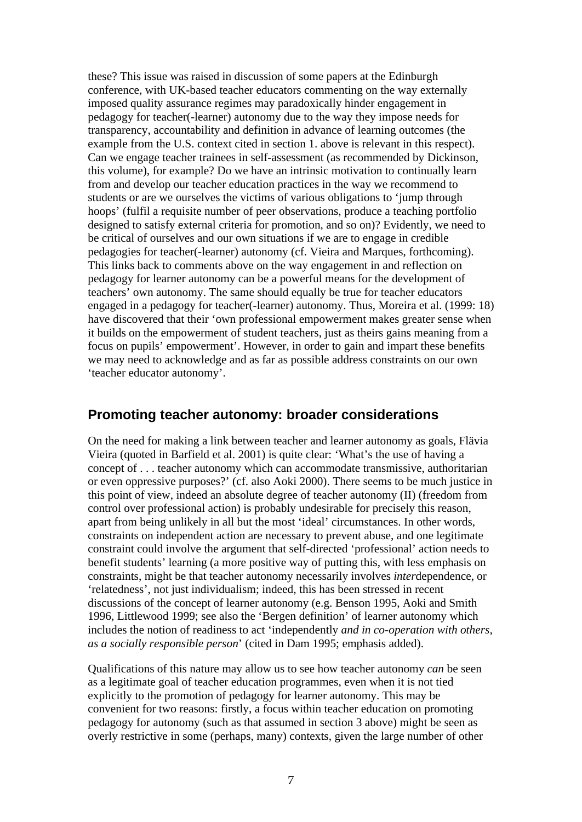these? This issue was raised in discussion of some papers at the Edinburgh conference, with UK-based teacher educators commenting on the way externally imposed quality assurance regimes may paradoxically hinder engagement in pedagogy for teacher(-learner) autonomy due to the way they impose needs for transparency, accountability and definition in advance of learning outcomes (the example from the U.S. context cited in section 1. above is relevant in this respect). Can we engage teacher trainees in self-assessment (as recommended by Dickinson, this volume), for example? Do we have an intrinsic motivation to continually learn from and develop our teacher education practices in the way we recommend to students or are we ourselves the victims of various obligations to 'jump through hoops' (fulfil a requisite number of peer observations, produce a teaching portfolio designed to satisfy external criteria for promotion, and so on)? Evidently, we need to be critical of ourselves and our own situations if we are to engage in credible pedagogies for teacher(-learner) autonomy (cf. Vieira and Marques, forthcoming). This links back to comments above on the way engagement in and reflection on pedagogy for learner autonomy can be a powerful means for the development of teachers' own autonomy. The same should equally be true for teacher educators engaged in a pedagogy for teacher(-learner) autonomy. Thus, Moreira et al. (1999: 18) have discovered that their 'own professional empowerment makes greater sense when it builds on the empowerment of student teachers, just as theirs gains meaning from a focus on pupils' empowerment'. However, in order to gain and impart these benefits we may need to acknowledge and as far as possible address constraints on our own 'teacher educator autonomy'.

## **Promoting teacher autonomy: broader considerations**

On the need for making a link between teacher and learner autonomy as goals, Flävia Vieira (quoted in Barfield et al. 2001) is quite clear: 'What's the use of having a concept of . . . teacher autonomy which can accommodate transmissive, authoritarian or even oppressive purposes?' (cf. also Aoki 2000). There seems to be much justice in this point of view, indeed an absolute degree of teacher autonomy (II) (freedom from control over professional action) is probably undesirable for precisely this reason, apart from being unlikely in all but the most 'ideal' circumstances. In other words, constraints on independent action are necessary to prevent abuse, and one legitimate constraint could involve the argument that self-directed 'professional' action needs to benefit students' learning (a more positive way of putting this, with less emphasis on constraints, might be that teacher autonomy necessarily involves *inter*dependence, or 'relatedness', not just individualism; indeed, this has been stressed in recent discussions of the concept of learner autonomy (e.g. Benson 1995, Aoki and Smith 1996, Littlewood 1999; see also the 'Bergen definition' of learner autonomy which includes the notion of readiness to act 'independently *and in co-operation with others, as a socially responsible person*' (cited in Dam 1995; emphasis added).

Qualifications of this nature may allow us to see how teacher autonomy *can* be seen as a legitimate goal of teacher education programmes, even when it is not tied explicitly to the promotion of pedagogy for learner autonomy. This may be convenient for two reasons: firstly, a focus within teacher education on promoting pedagogy for autonomy (such as that assumed in section 3 above) might be seen as overly restrictive in some (perhaps, many) contexts, given the large number of other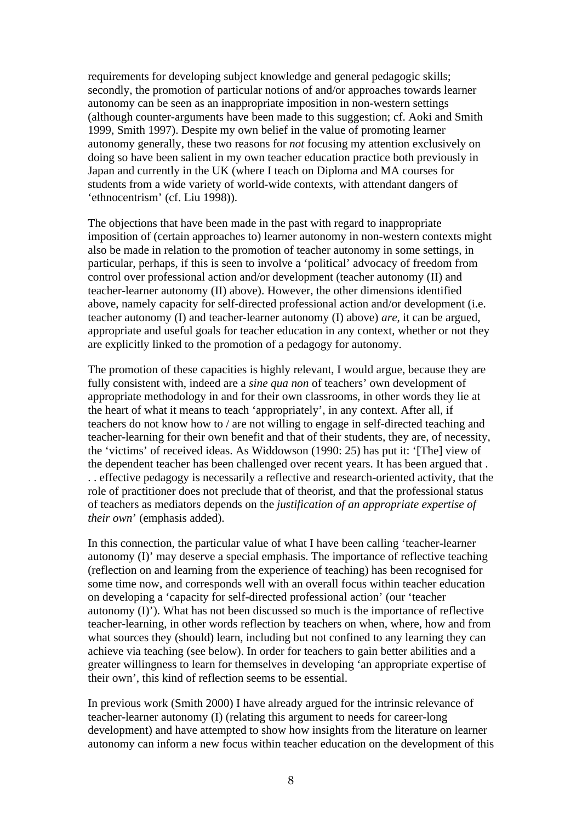requirements for developing subject knowledge and general pedagogic skills; secondly, the promotion of particular notions of and/or approaches towards learner autonomy can be seen as an inappropriate imposition in non-western settings (although counter-arguments have been made to this suggestion; cf. Aoki and Smith 1999, Smith 1997). Despite my own belief in the value of promoting learner autonomy generally, these two reasons for *not* focusing my attention exclusively on doing so have been salient in my own teacher education practice both previously in Japan and currently in the UK (where I teach on Diploma and MA courses for students from a wide variety of world-wide contexts, with attendant dangers of 'ethnocentrism' (cf. Liu 1998)).

The objections that have been made in the past with regard to inappropriate imposition of (certain approaches to) learner autonomy in non-western contexts might also be made in relation to the promotion of teacher autonomy in some settings, in particular, perhaps, if this is seen to involve a 'political' advocacy of freedom from control over professional action and/or development (teacher autonomy (II) and teacher-learner autonomy (II) above). However, the other dimensions identified above, namely capacity for self-directed professional action and/or development (i.e. teacher autonomy (I) and teacher-learner autonomy (I) above) *are*, it can be argued, appropriate and useful goals for teacher education in any context, whether or not they are explicitly linked to the promotion of a pedagogy for autonomy.

The promotion of these capacities is highly relevant, I would argue, because they are fully consistent with, indeed are a *sine qua non* of teachers' own development of appropriate methodology in and for their own classrooms, in other words they lie at the heart of what it means to teach 'appropriately', in any context. After all, if teachers do not know how to / are not willing to engage in self-directed teaching and teacher-learning for their own benefit and that of their students, they are, of necessity, the 'victims' of received ideas. As Widdowson (1990: 25) has put it: '[The] view of the dependent teacher has been challenged over recent years. It has been argued that . . . effective pedagogy is necessarily a reflective and research-oriented activity, that the role of practitioner does not preclude that of theorist, and that the professional status of teachers as mediators depends on the *justification of an appropriate expertise of their own*' (emphasis added).

In this connection, the particular value of what I have been calling 'teacher-learner autonomy (I)' may deserve a special emphasis. The importance of reflective teaching (reflection on and learning from the experience of teaching) has been recognised for some time now, and corresponds well with an overall focus within teacher education on developing a 'capacity for self-directed professional action' (our 'teacher autonomy (I)'). What has not been discussed so much is the importance of reflective teacher-learning, in other words reflection by teachers on when, where, how and from what sources they (should) learn, including but not confined to any learning they can achieve via teaching (see below). In order for teachers to gain better abilities and a greater willingness to learn for themselves in developing 'an appropriate expertise of their own', this kind of reflection seems to be essential.

In previous work (Smith 2000) I have already argued for the intrinsic relevance of teacher-learner autonomy (I) (relating this argument to needs for career-long development) and have attempted to show how insights from the literature on learner autonomy can inform a new focus within teacher education on the development of this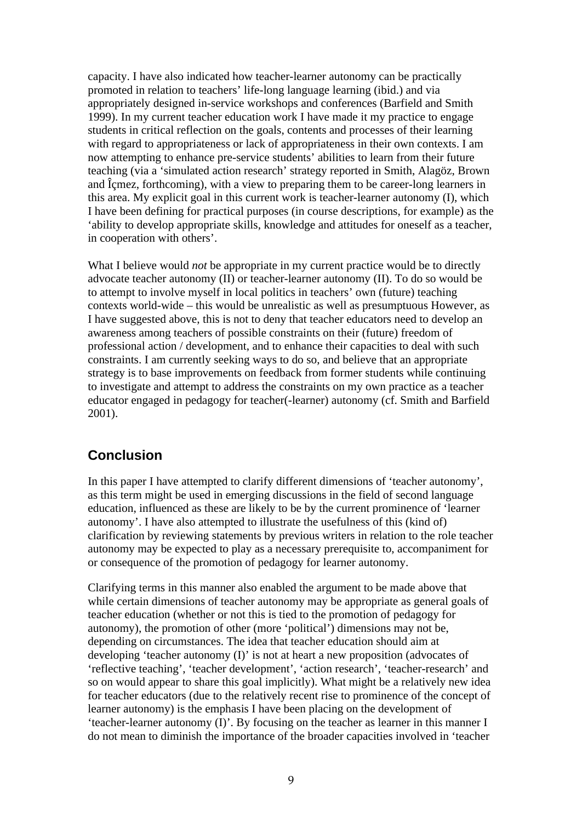capacity. I have also indicated how teacher-learner autonomy can be practically promoted in relation to teachers' life-long language learning (ibid.) and via appropriately designed in-service workshops and conferences (Barfield and Smith 1999). In my current teacher education work I have made it my practice to engage students in critical reflection on the goals, contents and processes of their learning with regard to appropriateness or lack of appropriateness in their own contexts. I am now attempting to enhance pre-service students' abilities to learn from their future teaching (via a 'simulated action research' strategy reported in Smith, Alagöz, Brown and Îçmez, forthcoming), with a view to preparing them to be career-long learners in this area. My explicit goal in this current work is teacher-learner autonomy (I), which I have been defining for practical purposes (in course descriptions, for example) as the 'ability to develop appropriate skills, knowledge and attitudes for oneself as a teacher, in cooperation with others'.

What I believe would *not* be appropriate in my current practice would be to directly advocate teacher autonomy (II) or teacher-learner autonomy (II). To do so would be to attempt to involve myself in local politics in teachers' own (future) teaching contexts world-wide – this would be unrealistic as well as presumptuous However, as I have suggested above, this is not to deny that teacher educators need to develop an awareness among teachers of possible constraints on their (future) freedom of professional action / development, and to enhance their capacities to deal with such constraints. I am currently seeking ways to do so, and believe that an appropriate strategy is to base improvements on feedback from former students while continuing to investigate and attempt to address the constraints on my own practice as a teacher educator engaged in pedagogy for teacher(-learner) autonomy (cf. Smith and Barfield 2001).

# **Conclusion**

In this paper I have attempted to clarify different dimensions of 'teacher autonomy', as this term might be used in emerging discussions in the field of second language education, influenced as these are likely to be by the current prominence of 'learner autonomy'. I have also attempted to illustrate the usefulness of this (kind of) clarification by reviewing statements by previous writers in relation to the role teacher autonomy may be expected to play as a necessary prerequisite to, accompaniment for or consequence of the promotion of pedagogy for learner autonomy.

Clarifying terms in this manner also enabled the argument to be made above that while certain dimensions of teacher autonomy may be appropriate as general goals of teacher education (whether or not this is tied to the promotion of pedagogy for autonomy), the promotion of other (more 'political') dimensions may not be, depending on circumstances. The idea that teacher education should aim at developing 'teacher autonomy (I)' is not at heart a new proposition (advocates of 'reflective teaching', 'teacher development', 'action research', 'teacher-research' and so on would appear to share this goal implicitly). What might be a relatively new idea for teacher educators (due to the relatively recent rise to prominence of the concept of learner autonomy) is the emphasis I have been placing on the development of 'teacher-learner autonomy (I)'. By focusing on the teacher as learner in this manner I do not mean to diminish the importance of the broader capacities involved in 'teacher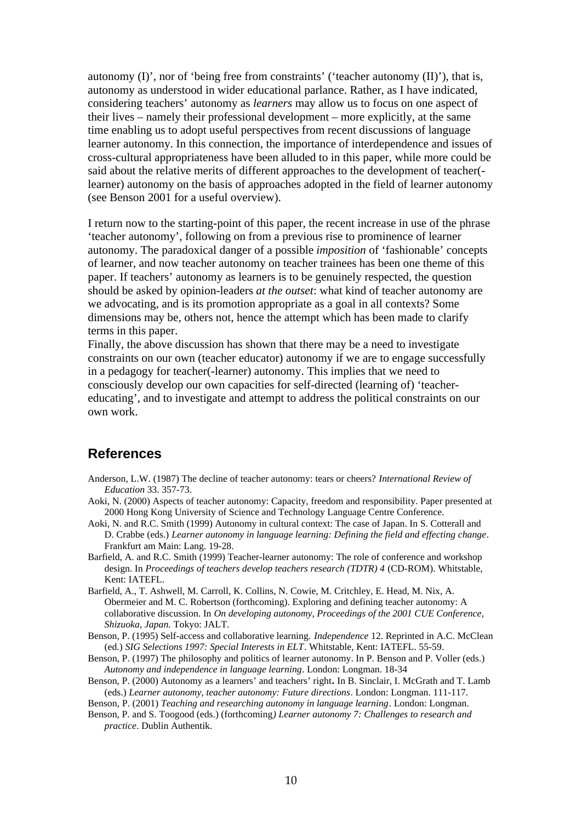autonomy (I)', nor of 'being free from constraints' ('teacher autonomy (II)'), that is, autonomy as understood in wider educational parlance. Rather, as I have indicated, considering teachers' autonomy as *learners* may allow us to focus on one aspect of their lives – namely their professional development – more explicitly, at the same time enabling us to adopt useful perspectives from recent discussions of language learner autonomy. In this connection, the importance of interdependence and issues of cross-cultural appropriateness have been alluded to in this paper, while more could be said about the relative merits of different approaches to the development of teacher( learner) autonomy on the basis of approaches adopted in the field of learner autonomy (see Benson 2001 for a useful overview).

I return now to the starting-point of this paper, the recent increase in use of the phrase 'teacher autonomy', following on from a previous rise to prominence of learner autonomy. The paradoxical danger of a possible *imposition* of 'fashionable' concepts of learner, and now teacher autonomy on teacher trainees has been one theme of this paper. If teachers' autonomy as learners is to be genuinely respected, the question should be asked by opinion-leaders *at the outset*: what kind of teacher autonomy are we advocating, and is its promotion appropriate as a goal in all contexts? Some dimensions may be, others not, hence the attempt which has been made to clarify terms in this paper.

Finally, the above discussion has shown that there may be a need to investigate constraints on our own (teacher educator) autonomy if we are to engage successfully in a pedagogy for teacher(-learner) autonomy. This implies that we need to consciously develop our own capacities for self-directed (learning of) 'teachereducating', and to investigate and attempt to address the political constraints on our own work.

## **References**

- Anderson, L.W. (1987) The decline of teacher autonomy: tears or cheers? *International Review of Education* 33. 357-73.
- Aoki, N. (2000) Aspects of teacher autonomy: Capacity, freedom and responsibility. Paper presented at 2000 Hong Kong University of Science and Technology Language Centre Conference.
- Aoki, N. and R.C. Smith (1999) Autonomy in cultural context: The case of Japan. In S. Cotterall and D. Crabbe (eds.) *Learner autonomy in language learning: Defining the field and effecting change*. Frankfurt am Main: Lang. 19-28.
- Barfield, A. and R.C. Smith (1999) Teacher-learner autonomy: The role of conference and workshop design. In *Proceedings of teachers develop teachers research (TDTR) 4* (CD-ROM). Whitstable, Kent: IATEFL.
- Barfield, A., T. Ashwell, M. Carroll, K. Collins, N. Cowie, M. Critchley, E. Head, M. Nix, A. Obermeier and M. C. Robertson (forthcoming). Exploring and defining teacher autonomy: A collaborative discussion. In *On developing autonomy, Proceedings of the 2001 CUE Conference, Shizuoka, Japan.* Tokyo: JALT.
- Benson, P. (1995) Self-access and collaborative learning. *Independence* 12. Reprinted in A.C. McClean (ed.) *SIG Selections 1997: Special Interests in ELT*. Whitstable, Kent: IATEFL. 55-59.
- Benson, P. (1997) The philosophy and politics of learner autonomy. In P. Benson and P. Voller (eds.) *Autonomy and independence in language learning*. London: Longman. 18-34
- Benson, P. (2000) Autonomy as a learners' and teachers' right**.** In B. Sinclair, I. McGrath and T. Lamb (eds.) *Learner autonomy, teacher autonomy: Future directions*. London: Longman. 111-117.
- Benson, P. (2001) *Teaching and researching autonomy in language learning*. London: Longman.
- Benson, P. and S. Toogood (eds.) (forthcoming*) Learner autonomy 7: Challenges to research and practice*. Dublin Authentik.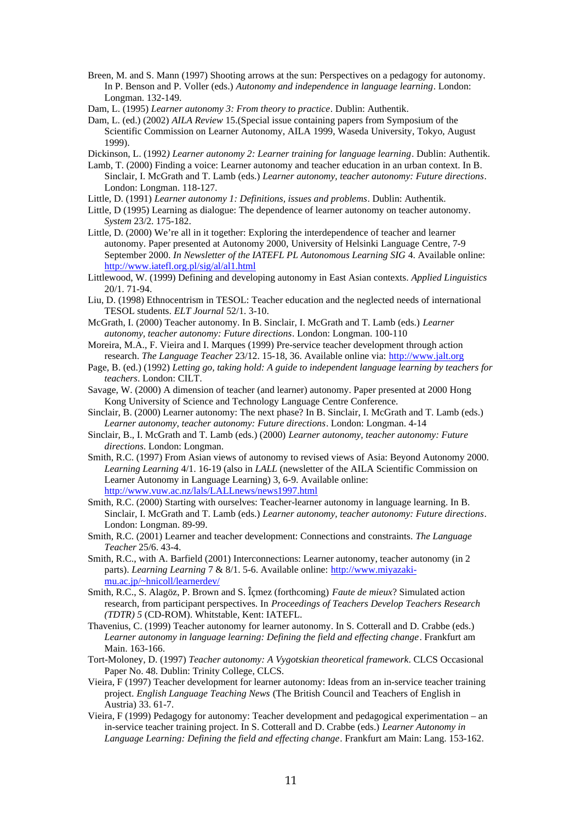- Breen, M. and S. Mann (1997) Shooting arrows at the sun: Perspectives on a pedagogy for autonomy. In P. Benson and P. Voller (eds.) *Autonomy and independence in language learning*. London: Longman. 132-149.
- Dam, L. (1995) *Learner autonomy 3: From theory to practice*. Dublin: Authentik.
- Dam, L. (ed.) (2002) *AILA Review* 15.(Special issue containing papers from Symposium of the Scientific Commission on Learner Autonomy, AILA 1999, Waseda University, Tokyo, August 1999).

Dickinson, L. (1992*) Learner autonomy 2: Learner training for language learning*. Dublin: Authentik.

- Lamb, T. (2000) Finding a voice: Learner autonomy and teacher education in an urban context. In B. Sinclair, I. McGrath and T. Lamb (eds.) *Learner autonomy, teacher autonomy: Future directions*. London: Longman. 118-127.
- Little, D. (1991) *Learner autonomy 1: Definitions, issues and problems*. Dublin: Authentik.
- Little, D (1995) Learning as dialogue: The dependence of learner autonomy on teacher autonomy. *System* 23/2. 175-182.
- Little, D. (2000) We're all in it together: Exploring the interdependence of teacher and learner autonomy. Paper presented at Autonomy 2000, University of Helsinki Language Centre, 7-9 September 2000. *In Newsletter of the IATEFL PL Autonomous Learning SIG* 4. Available online: <http://www.iatefl.org.pl/sig/al/al1.html>
- Littlewood, W. (1999) Defining and developing autonomy in East Asian contexts. *Applied Linguistics* 20/1. 71-94.
- Liu, D. (1998) Ethnocentrism in TESOL: Teacher education and the neglected needs of international TESOL students. *ELT Journal* 52/1. 3-10.
- McGrath, I. (2000) Teacher autonomy. In B. Sinclair, I. McGrath and T. Lamb (eds.) *Learner autonomy, teacher autonomy: Future directions*. London: Longman. 100-110
- Moreira, M.A., F. Vieira and I. Marques (1999) Pre-service teacher development through action research. *The Language Teacher* 23/12. 15-18, 36. Available online via: <http://www.jalt.org>
- Page, B. (ed.) (1992) *Letting go, taking hold: A guide to independent language learning by teachers for teachers*. London: CILT.
- Savage, W. (2000) A dimension of teacher (and learner) autonomy. Paper presented at 2000 Hong Kong University of Science and Technology Language Centre Conference.
- Sinclair, B. (2000) Learner autonomy: The next phase? In B. Sinclair, I. McGrath and T. Lamb (eds.) *Learner autonomy, teacher autonomy: Future directions*. London: Longman. 4-14
- Sinclair, B., I. McGrath and T. Lamb (eds.) (2000) *Learner autonomy, teacher autonomy: Future directions*. London: Longman.
- Smith, R.C. (1997) From Asian views of autonomy to revised views of Asia: Beyond Autonomy 2000. *Learning Learning* 4/1. 16-19 (also in *LALL* (newsletter of the AILA Scientific Commission on Learner Autonomy in Language Learning) 3, 6-9. Available online: <http://www.vuw.ac.nz/lals/LALLnews/news1997.html>
- Smith, R.C. (2000) Starting with ourselves: Teacher-learner autonomy in language learning. In B. Sinclair, I. McGrath and T. Lamb (eds.) *Learner autonomy, teacher autonomy: Future directions*. London: Longman. 89-99.
- Smith, R.C. (2001) Learner and teacher development: Connections and constraints. *The Language Teacher* 25/6. 43-4.
- Smith, R.C., with A. Barfield (2001) Interconnections: Learner autonomy, teacher autonomy (in 2 parts). *Learning Learning* 7 & 8/1. 5-6. Available online: [http://www.miyazaki](http://www.miyazaki-)mu.ac.jp/~hnicoll/learnerdev/
- Smith, R.C., S. Alagöz, P. Brown and S. Îçmez (forthcoming) *Faute de mieux*? Simulated action research, from participant perspectives. In *Proceedings of Teachers Develop Teachers Research (TDTR) 5* (CD-ROM). Whitstable, Kent: IATEFL.
- Thavenius, C. (1999) Teacher autonomy for learner autonomy. In S. Cotterall and D. Crabbe (eds.) *Learner autonomy in language learning: Defining the field and effecting change*. Frankfurt am Main. 163-166.
- Tort-Moloney, D. (1997) *Teacher autonomy: A Vygotskian theoretical framework*. CLCS Occasional Paper No. 48. Dublin: Trinity College, CLCS.
- Vieira, F (1997) Teacher development for learner autonomy: Ideas from an in-service teacher training project. *English Language Teaching News* (The British Council and Teachers of English in Austria) 33. 61-7.
- Vieira, F (1999) Pedagogy for autonomy: Teacher development and pedagogical experimentation an in-service teacher training project. In S. Cotterall and D. Crabbe (eds.) *Learner Autonomy in Language Learning: Defining the field and effecting change*. Frankfurt am Main: Lang. 153-162.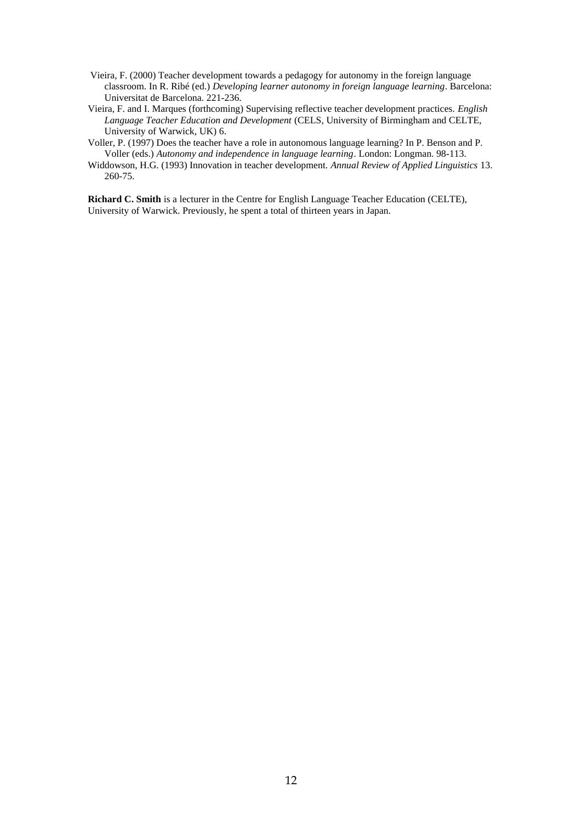- Vieira, F. (2000) Teacher development towards a pedagogy for autonomy in the foreign language classroom. In R. Ribé (ed.) *Developing learner autonomy in foreign language learning*. Barcelona: Universitat de Barcelona. 221-236.
- Vieira, F. and I. Marques (forthcoming) Supervising reflective teacher development practices. *English Language Teacher Education and Development* (CELS, University of Birmingham and CELTE, University of Warwick, UK) 6.
- Voller, P. (1997) Does the teacher have a role in autonomous language learning? In P. Benson and P. Voller (eds.) *Autonomy and independence in language learning*. London: Longman. 98-113.
- Widdowson, H.G. (1993) Innovation in teacher development. *Annual Review of Applied Linguistics* 13. 260-75.

**Richard C. Smith** is a lecturer in the Centre for English Language Teacher Education (CELTE), University of Warwick. Previously, he spent a total of thirteen years in Japan.